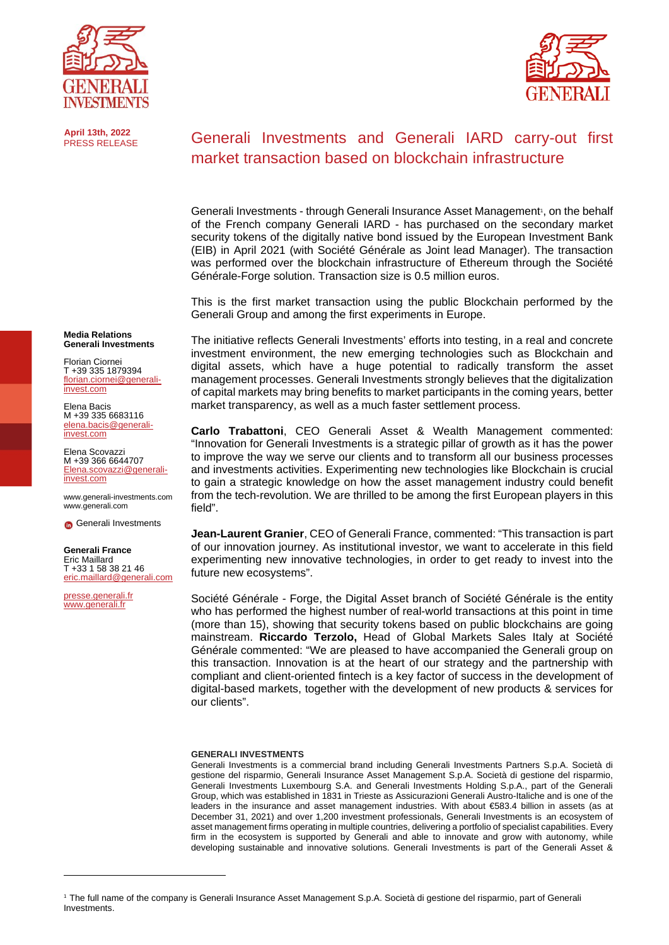





# Generali Investments and Generali IARD carry-out first market transaction based on blockchain infrastructure

Generali Investments - through Generali Insurance Asset Management<sup>1</sup>, on the behalf of the French company Generali IARD - has purchased on the secondary market security tokens of the digitally native bond issued by the European Investment Bank (EIB) in April 2021 (with Société Générale as Joint lead Manager). The transaction was performed over the blockchain infrastructure of Ethereum through the Société Générale-Forge solution. Transaction size is 0.5 million euros.

This is the first market transaction using the public Blockchain performed by the Generali Group and among the first experiments in Europe.

The initiative reflects Generali Investments' efforts into testing, in a real and concrete investment environment, the new emerging technologies such as Blockchain and digital assets, which have a huge potential to radically transform the asset management processes. Generali Investments strongly believes that the digitalization of capital markets may bring benefits to market participants in the coming years, better market transparency, as well as a much faster settlement process.

**Carlo Trabattoni**, CEO Generali Asset & Wealth Management commented: "Innovation for Generali Investments is a strategic pillar of growth as it has the power to improve the way we serve our clients and to transform all our business processes and investments activities. Experimenting new technologies like Blockchain is crucial to gain a strategic knowledge on how the asset management industry could benefit from the tech-revolution. We are thrilled to be among the first European players in this field".

**Jean-Laurent Granier**, CEO of Generali France, commented: "This transaction is part of our innovation journey. As institutional investor, we want to accelerate in this field experimenting new innovative technologies, in order to get ready to invest into the future new ecosystems".

Société Générale - Forge, the Digital Asset branch of Société Générale is the entity who has performed the highest number of real-world transactions at this point in time (more than 15), showing that security tokens based on public blockchains are going mainstream. **Riccardo Terzolo,** Head of Global Markets Sales Italy at Société Générale commented: "We are pleased to have accompanied the Generali group on this transaction. Innovation is at the heart of our strategy and the partnership with compliant and client-oriented fintech is a key factor of success in the development of digital-based markets, together with the development of new products & services for our clients".

## **GENERALI INVESTMENTS**

<span id="page-0-0"></span>Generali Investments is a commercial brand including Generali Investments Partners S.p.A. Società di gestione del risparmio, Generali Insurance Asset Management S.p.A. Società di gestione del risparmio, Generali Investments Luxembourg S.A. and Generali Investments Holding S.p.A., part of the Generali Group, which was established in 1831 in Trieste as Assicurazioni Generali Austro-Italiche and is one of the leaders in the insurance and asset management industries. With about €583.4 billion in assets (as at December 31, 2021) and over 1,200 investment professionals, Generali Investments is an ecosystem of asset management firms operating in multiple countries, delivering a portfolio of specialist capabilities. Every firm in the ecosystem is supported by Generali and able to innovate and grow with autonomy, while developing sustainable and innovative solutions. Generali Investments is part of the Generali Asset &

**Media Relations Generali Investments**

Florian Ciornei T +39 335 1879394 [florian.ciornei@generali](mailto:florian.ciornei@generali-invest.com)[invest.com](mailto:florian.ciornei@generali-invest.com)

Elena Bacis M +39 335 6683116 [elena.bacis@generali-](mailto:elena.bacis@generali-invest.com) [invest.com](mailto:elena.bacis@generali-invest.com)

Elena Scovazzi M +39 366 6644707 [Elena.scovazzi@generali](mailto:Elena.scovazzi@generali-invest.com)[invest.com](mailto:Elena.scovazzi@generali-invest.com)

[www.generali-investments.com](http://www.generali-investments.com/) [www.generali.com](http://www.generali.com/)

**G** [Generali Investments](https://www.linkedin.com/company/generali-investments/)

#### **Generali France** Eric Maillard

T +33 1 58 38 21 46 [eric.maillard@generali.com](mailto:eric.maillard@generali.com)

[presse.generali.fr](https://www.presse.generali.fr/) [www.generali.fr](http://www.generali.fr/)